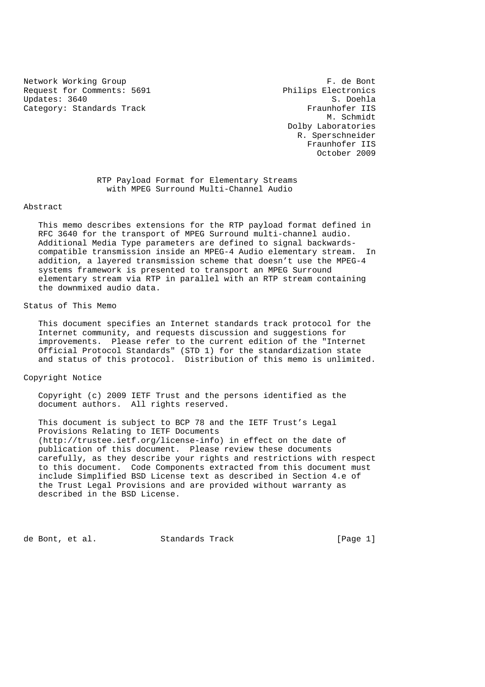Network Working Group **F. de Bont** Request for Comments: 5691 Philips Electronics<br>Updates: 3640 S. Doehla Updates: 3640 Category: Standards Track Fraunhofer IIS

 M. Schmidt Dolby Laboratories R. Sperschneider Fraunhofer IIS October 2009

 RTP Payload Format for Elementary Streams with MPEG Surround Multi-Channel Audio

#### Abstract

 This memo describes extensions for the RTP payload format defined in RFC 3640 for the transport of MPEG Surround multi-channel audio. Additional Media Type parameters are defined to signal backwards compatible transmission inside an MPEG-4 Audio elementary stream. In addition, a layered transmission scheme that doesn't use the MPEG-4 systems framework is presented to transport an MPEG Surround elementary stream via RTP in parallel with an RTP stream containing the downmixed audio data.

# Status of This Memo

 This document specifies an Internet standards track protocol for the Internet community, and requests discussion and suggestions for improvements. Please refer to the current edition of the "Internet Official Protocol Standards" (STD 1) for the standardization state and status of this protocol. Distribution of this memo is unlimited.

# Copyright Notice

 Copyright (c) 2009 IETF Trust and the persons identified as the document authors. All rights reserved.

 This document is subject to BCP 78 and the IETF Trust's Legal Provisions Relating to IETF Documents (http://trustee.ietf.org/license-info) in effect on the date of publication of this document. Please review these documents carefully, as they describe your rights and restrictions with respect to this document. Code Components extracted from this document must include Simplified BSD License text as described in Section 4.e of the Trust Legal Provisions and are provided without warranty as described in the BSD License.

de Bont, et al. Standards Track [Page 1]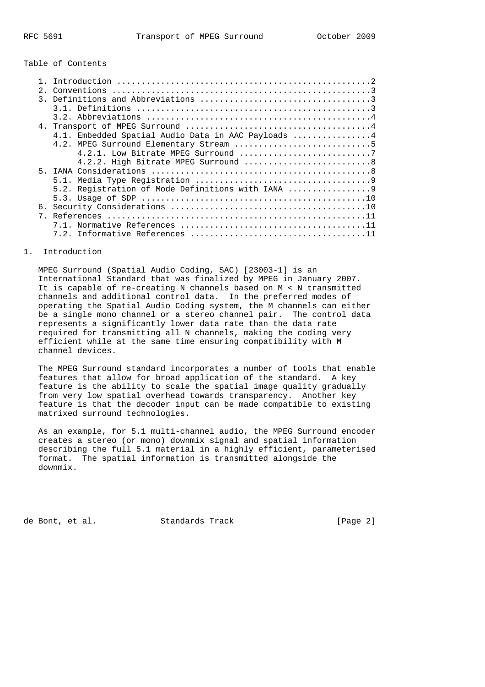#### Table of Contents

| 2.1 |                                                    |
|-----|----------------------------------------------------|
|     |                                                    |
|     |                                                    |
|     |                                                    |
|     |                                                    |
|     | 4.1. Embedded Spatial Audio Data in AAC Payloads 4 |
|     |                                                    |
|     |                                                    |
|     | 4.2.2. High Bitrate MPEG Surround 8                |
|     |                                                    |
|     |                                                    |
|     | 5.2. Reqistration of Mode Definitions with IANA    |
|     |                                                    |
| б.  |                                                    |
|     |                                                    |
|     |                                                    |
|     |                                                    |
|     |                                                    |

# 1. Introduction

 MPEG Surround (Spatial Audio Coding, SAC) [23003-1] is an International Standard that was finalized by MPEG in January 2007. It is capable of re-creating N channels based on M < N transmitted channels and additional control data. In the preferred modes of operating the Spatial Audio Coding system, the M channels can either be a single mono channel or a stereo channel pair. The control data represents a significantly lower data rate than the data rate required for transmitting all N channels, making the coding very efficient while at the same time ensuring compatibility with M channel devices.

 The MPEG Surround standard incorporates a number of tools that enable features that allow for broad application of the standard. A key feature is the ability to scale the spatial image quality gradually from very low spatial overhead towards transparency. Another key feature is that the decoder input can be made compatible to existing matrixed surround technologies.

 As an example, for 5.1 multi-channel audio, the MPEG Surround encoder creates a stereo (or mono) downmix signal and spatial information describing the full 5.1 material in a highly efficient, parameterised format. The spatial information is transmitted alongside the downmix.

de Bont, et al. Standards Track [Page 2]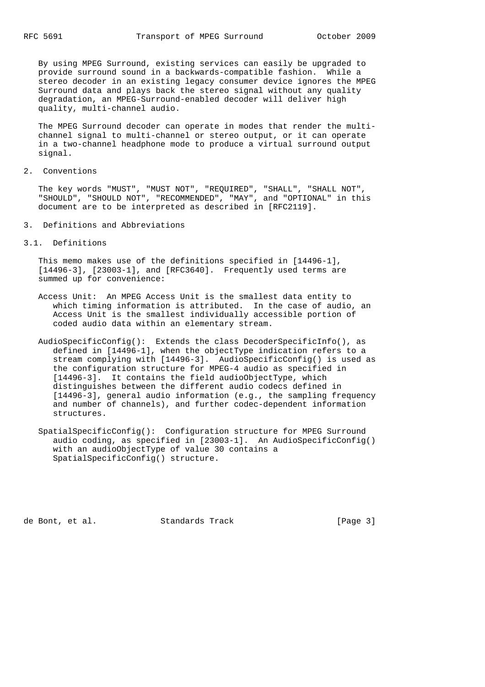By using MPEG Surround, existing services can easily be upgraded to provide surround sound in a backwards-compatible fashion. While a stereo decoder in an existing legacy consumer device ignores the MPEG Surround data and plays back the stereo signal without any quality degradation, an MPEG-Surround-enabled decoder will deliver high quality, multi-channel audio.

 The MPEG Surround decoder can operate in modes that render the multi channel signal to multi-channel or stereo output, or it can operate in a two-channel headphone mode to produce a virtual surround output signal.

2. Conventions

 The key words "MUST", "MUST NOT", "REQUIRED", "SHALL", "SHALL NOT", "SHOULD", "SHOULD NOT", "RECOMMENDED", "MAY", and "OPTIONAL" in this document are to be interpreted as described in [RFC2119].

- 3. Definitions and Abbreviations
- 3.1. Definitions

 This memo makes use of the definitions specified in [14496-1], [14496-3], [23003-1], and [RFC3640]. Frequently used terms are summed up for convenience:

- Access Unit: An MPEG Access Unit is the smallest data entity to which timing information is attributed. In the case of audio, an Access Unit is the smallest individually accessible portion of coded audio data within an elementary stream.
- AudioSpecificConfig(): Extends the class DecoderSpecificInfo(), as defined in [14496-1], when the objectType indication refers to a stream complying with [14496-3]. AudioSpecificConfig() is used as the configuration structure for MPEG-4 audio as specified in [14496-3]. It contains the field audioObjectType, which distinguishes between the different audio codecs defined in [14496-3], general audio information (e.g., the sampling frequency and number of channels), and further codec-dependent information structures.
- SpatialSpecificConfig(): Configuration structure for MPEG Surround audio coding, as specified in [23003-1]. An AudioSpecificConfig() with an audioObjectType of value 30 contains a SpatialSpecificConfig() structure.

de Bont, et al. Standards Track [Page 3]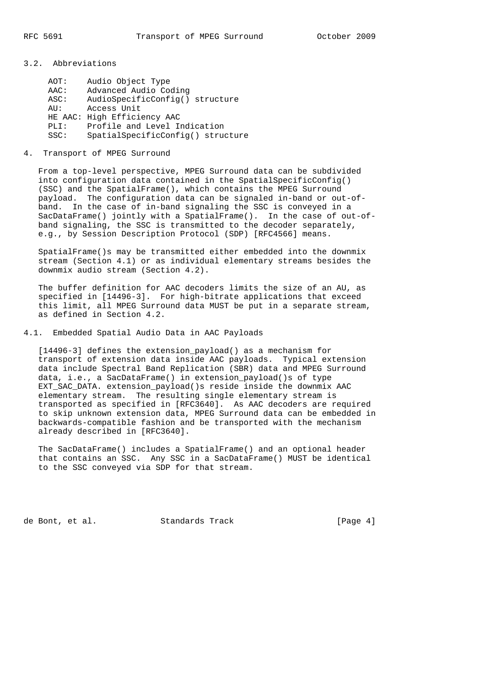3.2. Abbreviations

| AOT:    | Audio Object Type                 |
|---------|-----------------------------------|
| AAC:    | Advanced Audio Coding             |
| ASC:    | AudioSpecificConfiq() structure   |
| $AIJ$ : | Access Unit                       |
|         | HE AAC: High Efficiency AAC       |
| PLI:    | Profile and Level Indication      |
| SSC:    | SpatialSpecificConfig() structure |

#### 4. Transport of MPEG Surround

 From a top-level perspective, MPEG Surround data can be subdivided into configuration data contained in the SpatialSpecificConfig() (SSC) and the SpatialFrame(), which contains the MPEG Surround payload. The configuration data can be signaled in-band or out-of band. In the case of in-band signaling the SSC is conveyed in a SacDataFrame() jointly with a SpatialFrame(). In the case of out-of band signaling, the SSC is transmitted to the decoder separately, e.g., by Session Description Protocol (SDP) [RFC4566] means.

 SpatialFrame()s may be transmitted either embedded into the downmix stream (Section 4.1) or as individual elementary streams besides the downmix audio stream (Section 4.2).

 The buffer definition for AAC decoders limits the size of an AU, as specified in [14496-3]. For high-bitrate applications that exceed this limit, all MPEG Surround data MUST be put in a separate stream, as defined in Section 4.2.

# 4.1. Embedded Spatial Audio Data in AAC Payloads

 [14496-3] defines the extension\_payload() as a mechanism for transport of extension data inside AAC payloads. Typical extension data include Spectral Band Replication (SBR) data and MPEG Surround data, i.e., a SacDataFrame() in extension\_payload()s of type EXT\_SAC\_DATA. extension\_payload()s reside inside the downmix AAC elementary stream. The resulting single elementary stream is transported as specified in [RFC3640]. As AAC decoders are required to skip unknown extension data, MPEG Surround data can be embedded in backwards-compatible fashion and be transported with the mechanism already described in [RFC3640].

 The SacDataFrame() includes a SpatialFrame() and an optional header that contains an SSC. Any SSC in a SacDataFrame() MUST be identical to the SSC conveyed via SDP for that stream.

de Bont, et al. Standards Track [Page 4]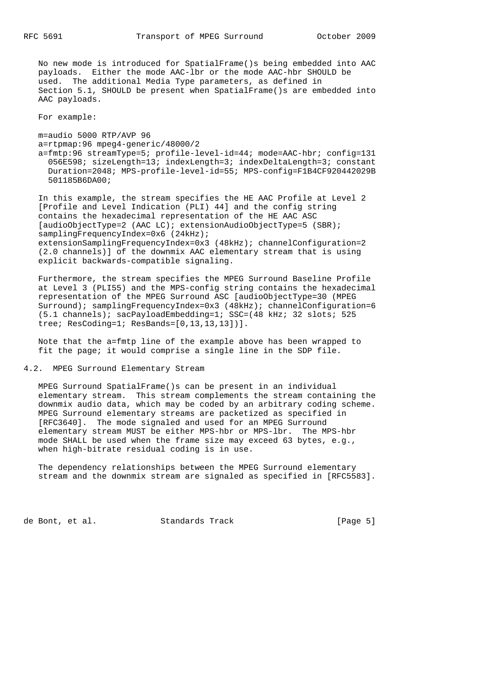No new mode is introduced for SpatialFrame()s being embedded into AAC payloads. Either the mode AAC-lbr or the mode AAC-hbr SHOULD be used. The additional Media Type parameters, as defined in Section 5.1, SHOULD be present when SpatialFrame()s are embedded into AAC payloads.

For example:

 m=audio 5000 RTP/AVP 96 a=rtpmap:96 mpeg4-generic/48000/2 a=fmtp:96 streamType=5; profile-level-id=44; mode=AAC-hbr; config=131 056E598; sizeLength=13; indexLength=3; indexDeltaLength=3; constant Duration=2048; MPS-profile-level-id=55; MPS-config=F1B4CF920442029B 501185B6DA00;

 In this example, the stream specifies the HE AAC Profile at Level 2 [Profile and Level Indication (PLI) 44] and the config string contains the hexadecimal representation of the HE AAC ASC [audioObjectType=2 (AAC LC); extensionAudioObjectType=5 (SBR); samplingFrequencyIndex=0x6 (24kHz); extensionSamplingFrequencyIndex=0x3 (48kHz); channelConfiguration=2 (2.0 channels)] of the downmix AAC elementary stream that is using explicit backwards-compatible signaling.

 Furthermore, the stream specifies the MPEG Surround Baseline Profile at Level 3 (PLI55) and the MPS-config string contains the hexadecimal representation of the MPEG Surround ASC [audioObjectType=30 (MPEG Surround); samplingFrequencyIndex=0x3 (48kHz); channelConfiguration=6 (5.1 channels); sacPayloadEmbedding=1; SSC=(48 kHz; 32 slots; 525 tree; ResCoding=1; ResBands=[0,13,13,13])].

 Note that the a=fmtp line of the example above has been wrapped to fit the page; it would comprise a single line in the SDP file.

4.2. MPEG Surround Elementary Stream

 MPEG Surround SpatialFrame()s can be present in an individual elementary stream. This stream complements the stream containing the downmix audio data, which may be coded by an arbitrary coding scheme. MPEG Surround elementary streams are packetized as specified in [RFC3640]. The mode signaled and used for an MPEG Surround elementary stream MUST be either MPS-hbr or MPS-lbr. The MPS-hbr mode SHALL be used when the frame size may exceed 63 bytes, e.g., when high-bitrate residual coding is in use.

 The dependency relationships between the MPEG Surround elementary stream and the downmix stream are signaled as specified in [RFC5583].

de Bont, et al. Standards Track [Page 5]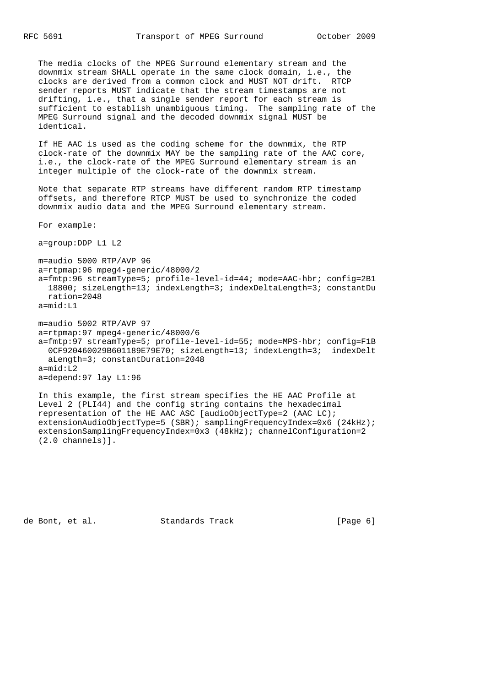The media clocks of the MPEG Surround elementary stream and the downmix stream SHALL operate in the same clock domain, i.e., the clocks are derived from a common clock and MUST NOT drift. RTCP sender reports MUST indicate that the stream timestamps are not drifting, i.e., that a single sender report for each stream is sufficient to establish unambiguous timing. The sampling rate of the MPEG Surround signal and the decoded downmix signal MUST be identical.

 If HE AAC is used as the coding scheme for the downmix, the RTP clock-rate of the downmix MAY be the sampling rate of the AAC core, i.e., the clock-rate of the MPEG Surround elementary stream is an integer multiple of the clock-rate of the downmix stream.

 Note that separate RTP streams have different random RTP timestamp offsets, and therefore RTCP MUST be used to synchronize the coded downmix audio data and the MPEG Surround elementary stream.

For example:

a=group:DDP L1 L2

 m=audio 5000 RTP/AVP 96 a=rtpmap:96 mpeg4-generic/48000/2 a=fmtp:96 streamType=5; profile-level-id=44; mode=AAC-hbr; config=2B1 18800; sizeLength=13; indexLength=3; indexDeltaLength=3; constantDu ration=2048 a=mid:L1

 m=audio 5002 RTP/AVP 97 a=rtpmap:97 mpeg4-generic/48000/6 a=fmtp:97 streamType=5; profile-level-id=55; mode=MPS-hbr; config=F1B 0CF920460029B601189E79E70; sizeLength=13; indexLength=3; indexDelt aLength=3; constantDuration=2048 a=mid:L2 a=depend:97 lay L1:96

 In this example, the first stream specifies the HE AAC Profile at Level 2 (PLI44) and the config string contains the hexadecimal representation of the HE AAC ASC [audioObjectType=2 (AAC LC); extensionAudioObjectType=5 (SBR); samplingFrequencyIndex=0x6 (24kHz); extensionSamplingFrequencyIndex=0x3 (48kHz); channelConfiguration=2 (2.0 channels)].

de Bont, et al. Standards Track [Page 6]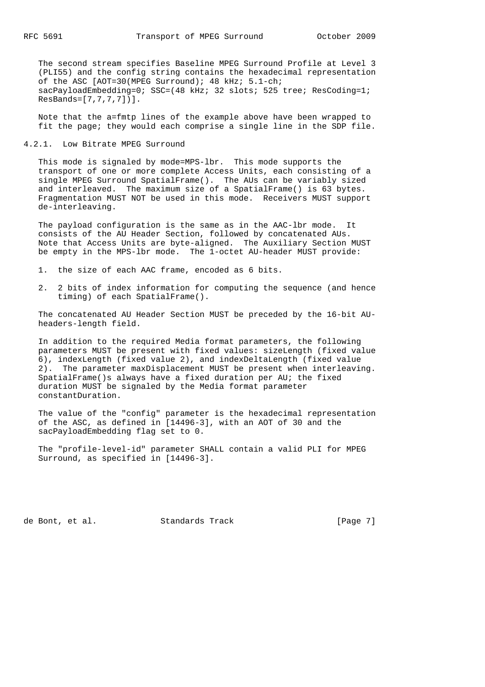The second stream specifies Baseline MPEG Surround Profile at Level 3 (PLI55) and the config string contains the hexadecimal representation of the ASC [AOT=30(MPEG Surround); 48 kHz; 5.1-ch; sacPayloadEmbedding=0; SSC=(48 kHz; 32 slots; 525 tree; ResCoding=1; ResBands=[7,7,7,7])].

 Note that the a=fmtp lines of the example above have been wrapped to fit the page; they would each comprise a single line in the SDP file.

4.2.1. Low Bitrate MPEG Surround

 This mode is signaled by mode=MPS-lbr. This mode supports the transport of one or more complete Access Units, each consisting of a single MPEG Surround SpatialFrame(). The AUs can be variably sized and interleaved. The maximum size of a SpatialFrame() is 63 bytes. Fragmentation MUST NOT be used in this mode. Receivers MUST support de-interleaving.

 The payload configuration is the same as in the AAC-lbr mode. It consists of the AU Header Section, followed by concatenated AUs. Note that Access Units are byte-aligned. The Auxiliary Section MUST be empty in the MPS-lbr mode. The 1-octet AU-header MUST provide:

- 1. the size of each AAC frame, encoded as 6 bits.
- 2. 2 bits of index information for computing the sequence (and hence timing) of each SpatialFrame().

 The concatenated AU Header Section MUST be preceded by the 16-bit AU headers-length field.

 In addition to the required Media format parameters, the following parameters MUST be present with fixed values: sizeLength (fixed value 6), indexLength (fixed value 2), and indexDeltaLength (fixed value 2). The parameter maxDisplacement MUST be present when interleaving. SpatialFrame()s always have a fixed duration per AU; the fixed duration MUST be signaled by the Media format parameter constantDuration.

 The value of the "config" parameter is the hexadecimal representation of the ASC, as defined in [14496-3], with an AOT of 30 and the sacPayloadEmbedding flag set to 0.

 The "profile-level-id" parameter SHALL contain a valid PLI for MPEG Surround, as specified in [14496-3].

de Bont, et al. Standards Track [Page 7]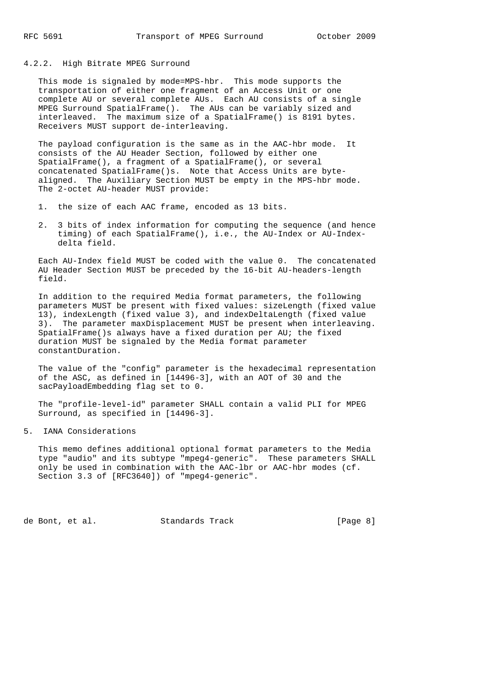## 4.2.2. High Bitrate MPEG Surround

 This mode is signaled by mode=MPS-hbr. This mode supports the transportation of either one fragment of an Access Unit or one complete AU or several complete AUs. Each AU consists of a single MPEG Surround SpatialFrame(). The AUs can be variably sized and interleaved. The maximum size of a SpatialFrame() is 8191 bytes. Receivers MUST support de-interleaving.

 The payload configuration is the same as in the AAC-hbr mode. It consists of the AU Header Section, followed by either one SpatialFrame(), a fragment of a SpatialFrame(), or several concatenated SpatialFrame()s. Note that Access Units are byte aligned. The Auxiliary Section MUST be empty in the MPS-hbr mode. The 2-octet AU-header MUST provide:

- 1. the size of each AAC frame, encoded as 13 bits.
- 2. 3 bits of index information for computing the sequence (and hence timing) of each SpatialFrame(), i.e., the AU-Index or AU-Index delta field.

 Each AU-Index field MUST be coded with the value 0. The concatenated AU Header Section MUST be preceded by the 16-bit AU-headers-length field.

 In addition to the required Media format parameters, the following parameters MUST be present with fixed values: sizeLength (fixed value 13), indexLength (fixed value 3), and indexDeltaLength (fixed value 3). The parameter maxDisplacement MUST be present when interleaving. SpatialFrame()s always have a fixed duration per AU; the fixed duration MUST be signaled by the Media format parameter constantDuration.

 The value of the "config" parameter is the hexadecimal representation of the ASC, as defined in [14496-3], with an AOT of 30 and the sacPayloadEmbedding flag set to 0.

 The "profile-level-id" parameter SHALL contain a valid PLI for MPEG Surround, as specified in [14496-3].

5. IANA Considerations

 This memo defines additional optional format parameters to the Media type "audio" and its subtype "mpeg4-generic". These parameters SHALL only be used in combination with the AAC-lbr or AAC-hbr modes (cf. Section 3.3 of [RFC3640]) of "mpeg4-generic".

de Bont, et al. Standards Track [Page 8]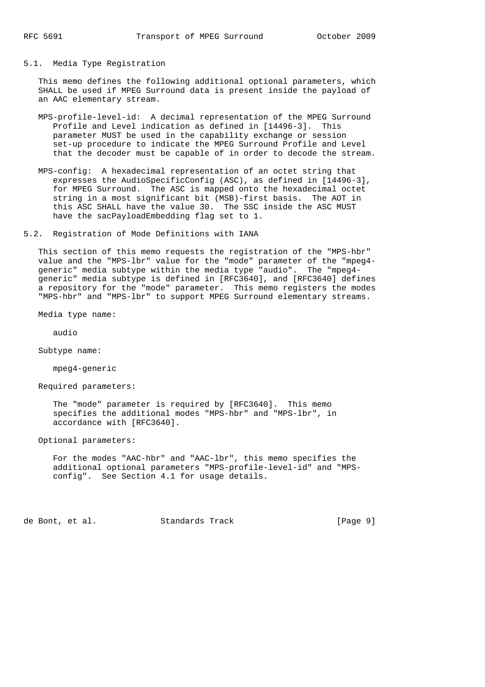## 5.1. Media Type Registration

 This memo defines the following additional optional parameters, which SHALL be used if MPEG Surround data is present inside the payload of an AAC elementary stream.

- MPS-profile-level-id: A decimal representation of the MPEG Surround Profile and Level indication as defined in [14496-3]. This parameter MUST be used in the capability exchange or session set-up procedure to indicate the MPEG Surround Profile and Level that the decoder must be capable of in order to decode the stream.
- MPS-config: A hexadecimal representation of an octet string that expresses the AudioSpecificConfig (ASC), as defined in [14496-3], for MPEG Surround. The ASC is mapped onto the hexadecimal octet string in a most significant bit (MSB)-first basis. The AOT in this ASC SHALL have the value 30. The SSC inside the ASC MUST have the sacPayloadEmbedding flag set to 1.
- 5.2. Registration of Mode Definitions with IANA

 This section of this memo requests the registration of the "MPS-hbr" value and the "MPS-lbr" value for the "mode" parameter of the "mpeg4 generic" media subtype within the media type "audio". The "mpeg4 generic" media subtype is defined in [RFC3640], and [RFC3640] defines a repository for the "mode" parameter. This memo registers the modes "MPS-hbr" and "MPS-lbr" to support MPEG Surround elementary streams.

Media type name:

audio

Subtype name:

mpeg4-generic

Required parameters:

 The "mode" parameter is required by [RFC3640]. This memo specifies the additional modes "MPS-hbr" and "MPS-lbr", in accordance with [RFC3640].

Optional parameters:

 For the modes "AAC-hbr" and "AAC-lbr", this memo specifies the additional optional parameters "MPS-profile-level-id" and "MPS config". See Section 4.1 for usage details.

de Bont, et al. Standards Track [Page 9]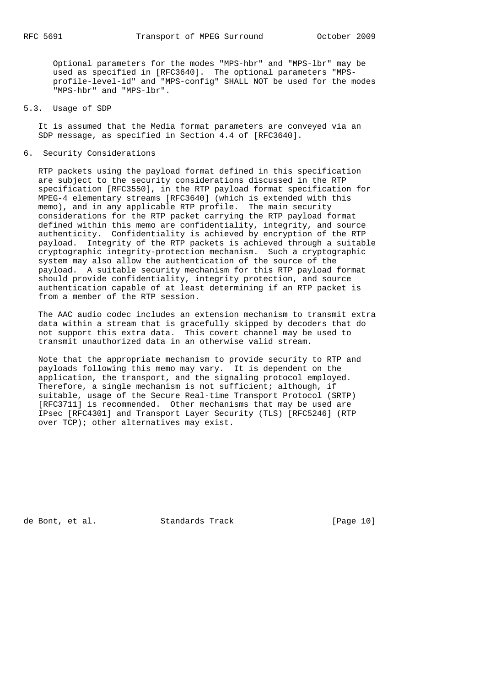Optional parameters for the modes "MPS-hbr" and "MPS-lbr" may be used as specified in [RFC3640]. The optional parameters "MPS profile-level-id" and "MPS-config" SHALL NOT be used for the modes "MPS-hbr" and "MPS-lbr".

#### 5.3. Usage of SDP

 It is assumed that the Media format parameters are conveyed via an SDP message, as specified in Section 4.4 of [RFC3640].

#### 6. Security Considerations

 RTP packets using the payload format defined in this specification are subject to the security considerations discussed in the RTP specification [RFC3550], in the RTP payload format specification for MPEG-4 elementary streams [RFC3640] (which is extended with this memo), and in any applicable RTP profile. The main security considerations for the RTP packet carrying the RTP payload format defined within this memo are confidentiality, integrity, and source authenticity. Confidentiality is achieved by encryption of the RTP payload. Integrity of the RTP packets is achieved through a suitable cryptographic integrity-protection mechanism. Such a cryptographic system may also allow the authentication of the source of the payload. A suitable security mechanism for this RTP payload format should provide confidentiality, integrity protection, and source authentication capable of at least determining if an RTP packet is from a member of the RTP session.

 The AAC audio codec includes an extension mechanism to transmit extra data within a stream that is gracefully skipped by decoders that do not support this extra data. This covert channel may be used to transmit unauthorized data in an otherwise valid stream.

 Note that the appropriate mechanism to provide security to RTP and payloads following this memo may vary. It is dependent on the application, the transport, and the signaling protocol employed. Therefore, a single mechanism is not sufficient; although, if suitable, usage of the Secure Real-time Transport Protocol (SRTP) [RFC3711] is recommended. Other mechanisms that may be used are IPsec [RFC4301] and Transport Layer Security (TLS) [RFC5246] (RTP over TCP); other alternatives may exist.

de Bont, et al. Standards Track [Page 10]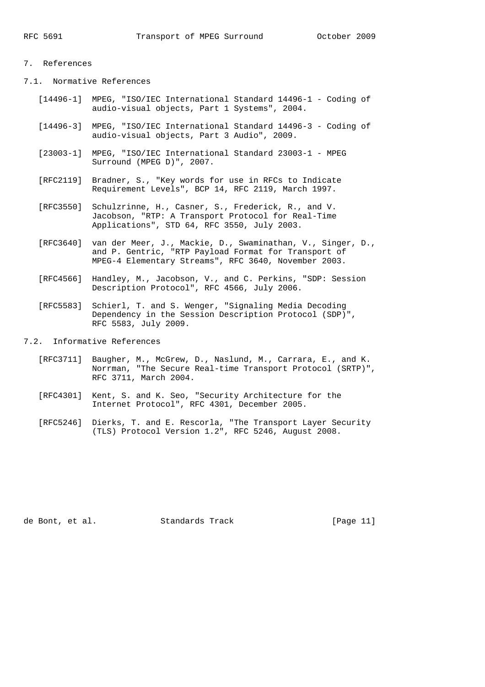# 7. References

7.1. Normative References

- [14496-1] MPEG, "ISO/IEC International Standard 14496-1 Coding of audio-visual objects, Part 1 Systems", 2004.
- [14496-3] MPEG, "ISO/IEC International Standard 14496-3 Coding of audio-visual objects, Part 3 Audio", 2009.
- [23003-1] MPEG, "ISO/IEC International Standard 23003-1 MPEG Surround (MPEG D)", 2007.
- [RFC2119] Bradner, S., "Key words for use in RFCs to Indicate Requirement Levels", BCP 14, RFC 2119, March 1997.
- [RFC3550] Schulzrinne, H., Casner, S., Frederick, R., and V. Jacobson, "RTP: A Transport Protocol for Real-Time Applications", STD 64, RFC 3550, July 2003.
- [RFC3640] van der Meer, J., Mackie, D., Swaminathan, V., Singer, D., and P. Gentric, "RTP Payload Format for Transport of MPEG-4 Elementary Streams", RFC 3640, November 2003.
- [RFC4566] Handley, M., Jacobson, V., and C. Perkins, "SDP: Session Description Protocol", RFC 4566, July 2006.
- [RFC5583] Schierl, T. and S. Wenger, "Signaling Media Decoding Dependency in the Session Description Protocol (SDP)", RFC 5583, July 2009.
- 7.2. Informative References
	- [RFC3711] Baugher, M., McGrew, D., Naslund, M., Carrara, E., and K. Norrman, "The Secure Real-time Transport Protocol (SRTP)", RFC 3711, March 2004.
	- [RFC4301] Kent, S. and K. Seo, "Security Architecture for the Internet Protocol", RFC 4301, December 2005.
	- [RFC5246] Dierks, T. and E. Rescorla, "The Transport Layer Security (TLS) Protocol Version 1.2", RFC 5246, August 2008.

de Bont, et al. Standards Track [Page 11]